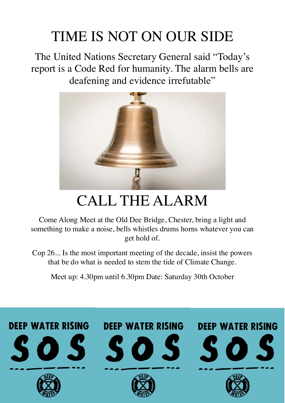## TIME IS NOT ON OUR SIDE

The United Nations Secretary General said "Today's report is a Code Red for humanity. The alarm bells are deafening and evidence irrefutable"



## CALL THE ALARM

Come Along Meet at the Old Dee Bridge, Chester, bring a light and something to make a noise, bells whistles drums horns whatever you can get hold of.

Cop 26... Is the most important meeting of the decade, insist the powers that be do what is needed to stem the tide of Climate Change.

Meet up: 4.30pm until 6.30pm Date: Saturday 30th October